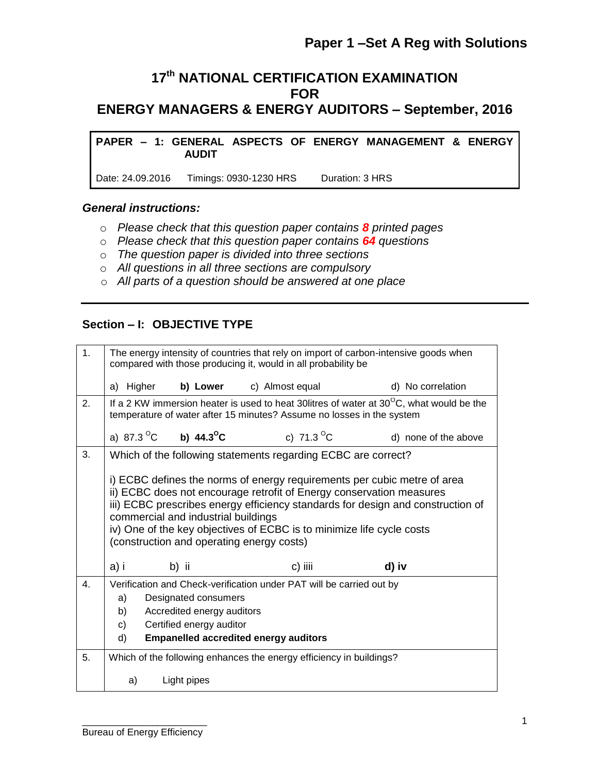## **17 th NATIONAL CERTIFICATION EXAMINATION FOR ENERGY MANAGERS & ENERGY AUDITORS – September, 2016**

**PAPER – 1: GENERAL ASPECTS OF ENERGY MANAGEMENT & ENERGY AUDIT**

Date: 24.09.2016 Timings: 0930-1230 HRS Duration: 3 HRS

#### *General instructions:*

- o *Please check that this question paper contains 8 printed pages*
- o *Please check that this question paper contains 64 questions*
- o *The question paper is divided into three sections*
- o *All questions in all three sections are compulsory*
- o *All parts of a question should be answered at one place*

#### **Section – I: OBJECTIVE TYPE**

| 1. | The energy intensity of countries that rely on import of carbon-intensive goods when<br>compared with those producing it, would in all probability be                                                                                                                                                                                                                                            |                                                     |                                                                     |                      |  |  |  |
|----|--------------------------------------------------------------------------------------------------------------------------------------------------------------------------------------------------------------------------------------------------------------------------------------------------------------------------------------------------------------------------------------------------|-----------------------------------------------------|---------------------------------------------------------------------|----------------------|--|--|--|
|    | a) Higher b) Lower c) Almost equal<br>d) No correlation                                                                                                                                                                                                                                                                                                                                          |                                                     |                                                                     |                      |  |  |  |
| 2. | If a 2 KW immersion heater is used to heat 30 litres of water at $30^{\circ}$ C, what would be the<br>temperature of water after 15 minutes? Assume no losses in the system                                                                                                                                                                                                                      |                                                     |                                                                     |                      |  |  |  |
|    |                                                                                                                                                                                                                                                                                                                                                                                                  | a) 87.3 <sup>o</sup> C <b>b) 44.3 <sup>o</sup>C</b> | c) 71.3 <sup>o</sup> C                                              | d) none of the above |  |  |  |
| 3. |                                                                                                                                                                                                                                                                                                                                                                                                  |                                                     | Which of the following statements regarding ECBC are correct?       |                      |  |  |  |
|    | i) ECBC defines the norms of energy requirements per cubic metre of area<br>ii) ECBC does not encourage retrofit of Energy conservation measures<br>iii) ECBC prescribes energy efficiency standards for design and construction of<br>commercial and industrial buildings<br>iv) One of the key objectives of ECBC is to minimize life cycle costs<br>(construction and operating energy costs) |                                                     |                                                                     |                      |  |  |  |
|    | a) i                                                                                                                                                                                                                                                                                                                                                                                             | b) ii                                               | c) iiii                                                             | d) iv                |  |  |  |
| 4. | Verification and Check-verification under PAT will be carried out by<br>a)<br>Designated consumers<br>Accredited energy auditors<br>b)<br>Certified energy auditor<br>$\mathsf{C}$<br>d)<br><b>Empanelled accredited energy auditors</b>                                                                                                                                                         |                                                     |                                                                     |                      |  |  |  |
| 5. |                                                                                                                                                                                                                                                                                                                                                                                                  |                                                     | Which of the following enhances the energy efficiency in buildings? |                      |  |  |  |
|    | Light pipes<br>a)                                                                                                                                                                                                                                                                                                                                                                                |                                                     |                                                                     |                      |  |  |  |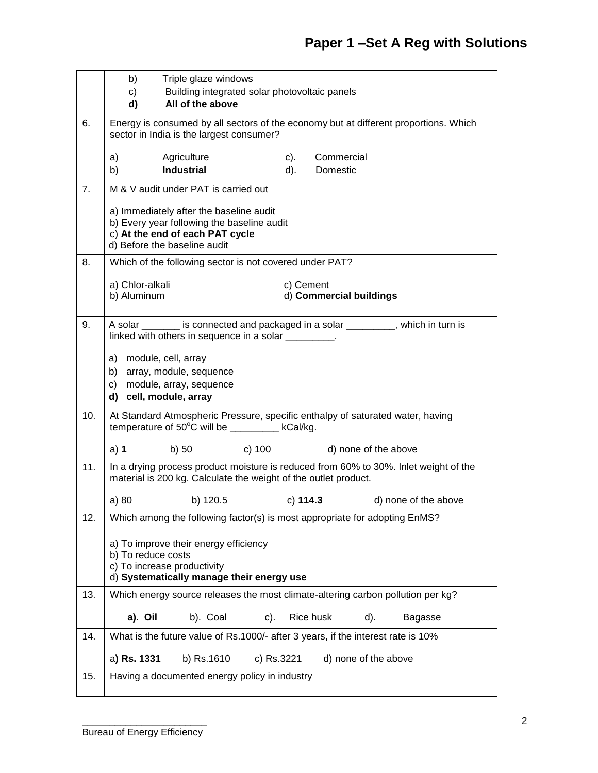|     | b)                             | Triple glaze windows                                                                                                                                                                                                                                    |               |                                      |                      |                      |
|-----|--------------------------------|---------------------------------------------------------------------------------------------------------------------------------------------------------------------------------------------------------------------------------------------------------|---------------|--------------------------------------|----------------------|----------------------|
|     | c)                             | Building integrated solar photovoltaic panels                                                                                                                                                                                                           |               |                                      |                      |                      |
|     | d)                             | All of the above                                                                                                                                                                                                                                        |               |                                      |                      |                      |
| 6.  |                                | Energy is consumed by all sectors of the economy but at different proportions. Which<br>sector in India is the largest consumer?                                                                                                                        |               |                                      |                      |                      |
|     | a)<br>b)                       | Agriculture<br><b>Industrial</b>                                                                                                                                                                                                                        | $c)$ .<br>d). | Commercial<br>Domestic               |                      |                      |
| 7.  |                                | M & V audit under PAT is carried out                                                                                                                                                                                                                    |               |                                      |                      |                      |
|     |                                | a) Immediately after the baseline audit<br>b) Every year following the baseline audit<br>c) At the end of each PAT cycle<br>d) Before the baseline audit                                                                                                |               |                                      |                      |                      |
| 8.  |                                | Which of the following sector is not covered under PAT?                                                                                                                                                                                                 |               |                                      |                      |                      |
|     | a) Chlor-alkali<br>b) Aluminum |                                                                                                                                                                                                                                                         |               | c) Cement<br>d) Commercial buildings |                      |                      |
| 9.  |                                | A solar _______ is connected and packaged in a solar ________, which in turn is<br>linked with others in sequence in a solar _________.<br>a) module, cell, array<br>b) array, module, sequence<br>c) module, array, sequence<br>d) cell, module, array |               |                                      |                      |                      |
| 10. |                                | At Standard Atmospheric Pressure, specific enthalpy of saturated water, having<br>temperature of $50^{\circ}$ C will be __________ kCal/kg.                                                                                                             |               |                                      |                      |                      |
|     | a) $1$                         | b) 50                                                                                                                                                                                                                                                   | c) 100        |                                      | d) none of the above |                      |
| 11. |                                | In a drying process product moisture is reduced from 60% to 30%. Inlet weight of the<br>material is 200 kg. Calculate the weight of the outlet product.                                                                                                 |               |                                      |                      |                      |
|     | a) 80                          | b) 120.5                                                                                                                                                                                                                                                |               | c) $114.3$                           |                      | d) none of the above |
| 12. |                                | Which among the following factor(s) is most appropriate for adopting EnMS?                                                                                                                                                                              |               |                                      |                      |                      |
|     | b) To reduce costs             | a) To improve their energy efficiency<br>c) To increase productivity<br>d) Systematically manage their energy use                                                                                                                                       |               |                                      |                      |                      |
| 13. |                                | Which energy source releases the most climate-altering carbon pollution per kg?                                                                                                                                                                         |               |                                      |                      |                      |
|     | a). Oil                        | b). Coal                                                                                                                                                                                                                                                | $c$ ).        | Rice husk                            | d).                  | Bagasse              |
| 14. |                                | What is the future value of Rs.1000/- after 3 years, if the interest rate is 10%                                                                                                                                                                        |               |                                      |                      |                      |
|     | a) Rs. 1331                    | b) Rs.1610                                                                                                                                                                                                                                              | c) Rs.3221    |                                      | d) none of the above |                      |
| 15. |                                | Having a documented energy policy in industry                                                                                                                                                                                                           |               |                                      |                      |                      |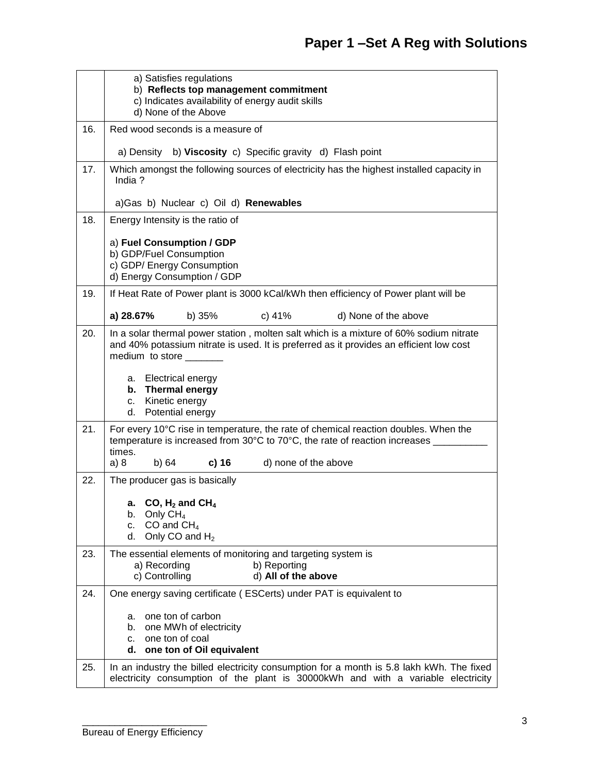|     | a) Satisfies regulations<br>b) Reflects top management commitment<br>c) Indicates availability of energy audit skills<br>d) None of the Above                                                              |  |  |  |  |  |
|-----|------------------------------------------------------------------------------------------------------------------------------------------------------------------------------------------------------------|--|--|--|--|--|
| 16. | Red wood seconds is a measure of                                                                                                                                                                           |  |  |  |  |  |
|     | a) Density b) Viscosity c) Specific gravity d) Flash point                                                                                                                                                 |  |  |  |  |  |
| 17. | Which amongst the following sources of electricity has the highest installed capacity in<br>India?                                                                                                         |  |  |  |  |  |
|     | a) Gas b) Nuclear c) Oil d) Renewables                                                                                                                                                                     |  |  |  |  |  |
| 18. | Energy Intensity is the ratio of                                                                                                                                                                           |  |  |  |  |  |
|     | a) Fuel Consumption / GDP<br>b) GDP/Fuel Consumption<br>c) GDP/ Energy Consumption<br>d) Energy Consumption / GDP                                                                                          |  |  |  |  |  |
| 19. | If Heat Rate of Power plant is 3000 kCal/kWh then efficiency of Power plant will be                                                                                                                        |  |  |  |  |  |
|     | a) 28.67%<br>b) 35%<br>c) 41%<br>d) None of the above                                                                                                                                                      |  |  |  |  |  |
| 20. | In a solar thermal power station, molten salt which is a mixture of 60% sodium nitrate<br>and 40% potassium nitrate is used. It is preferred as it provides an efficient low cost<br>medium to store _____ |  |  |  |  |  |
|     | a. Electrical energy<br><b>Thermal energy</b><br>b.<br>Kinetic energy<br>C.<br>d. Potential energy                                                                                                         |  |  |  |  |  |
| 21. | For every 10°C rise in temperature, the rate of chemical reaction doubles. When the<br>temperature is increased from 30°C to 70°C, the rate of reaction increases _<br>times.                              |  |  |  |  |  |
|     | b) 64<br>$c)$ 16<br>d) none of the above<br>a) 8                                                                                                                                                           |  |  |  |  |  |
| 22. | The producer gas is basically                                                                                                                                                                              |  |  |  |  |  |
|     | CO, $H_2$ and CH <sub>4</sub><br>а.<br>Only $CH4$<br>b.<br>CO and $CH4$<br>c.<br>Only CO and $H_2$<br>d.                                                                                                   |  |  |  |  |  |
| 23. | The essential elements of monitoring and targeting system is                                                                                                                                               |  |  |  |  |  |
|     | b) Reporting<br>a) Recording<br>c) Controlling<br>d) All of the above                                                                                                                                      |  |  |  |  |  |
| 24. | One energy saving certificate (ESCerts) under PAT is equivalent to                                                                                                                                         |  |  |  |  |  |
|     | one ton of carbon<br>a.                                                                                                                                                                                    |  |  |  |  |  |
|     | one MWh of electricity<br>b.<br>one ton of coal<br>C.                                                                                                                                                      |  |  |  |  |  |
|     | one ton of Oil equivalent<br>d.                                                                                                                                                                            |  |  |  |  |  |
| 25. | In an industry the billed electricity consumption for a month is 5.8 lakh kWh. The fixed<br>electricity consumption of the plant is 30000kWh and with a variable electricity                               |  |  |  |  |  |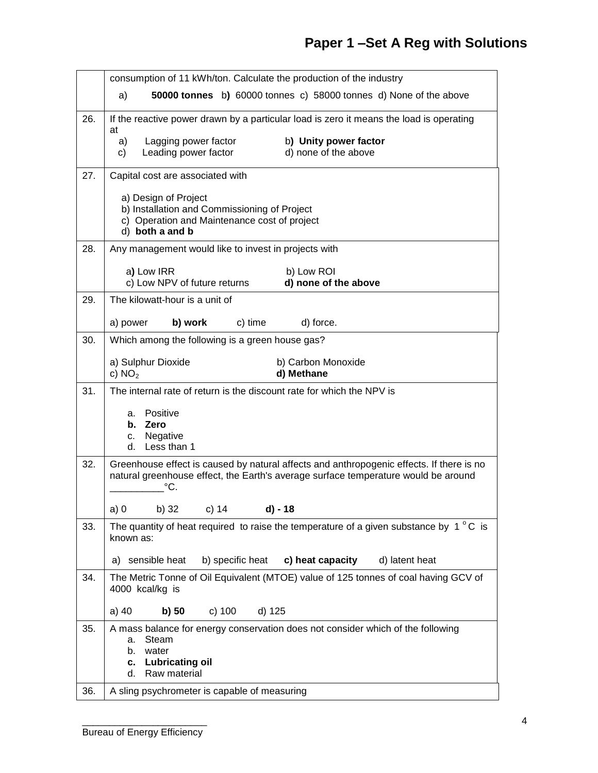# **Paper 1 –Set A Reg with Solutions**

|     | consumption of 11 kWh/ton. Calculate the production of the industry                                          |  |  |  |  |
|-----|--------------------------------------------------------------------------------------------------------------|--|--|--|--|
|     | 50000 tonnes b) 60000 tonnes c) 58000 tonnes d) None of the above<br>a)                                      |  |  |  |  |
| 26. | If the reactive power drawn by a particular load is zero it means the load is operating                      |  |  |  |  |
|     | at<br>b) Unity power factor<br>Lagging power factor<br>a)                                                    |  |  |  |  |
|     | Leading power factor<br>d) none of the above<br>C)                                                           |  |  |  |  |
| 27. | Capital cost are associated with                                                                             |  |  |  |  |
|     | a) Design of Project<br>b) Installation and Commissioning of Project                                         |  |  |  |  |
|     | c) Operation and Maintenance cost of project<br>d) both a and b                                              |  |  |  |  |
| 28. | Any management would like to invest in projects with                                                         |  |  |  |  |
|     | a) Low IRR<br>b) Low ROI                                                                                     |  |  |  |  |
|     | c) Low NPV of future returns<br>d) none of the above                                                         |  |  |  |  |
| 29. | The kilowatt-hour is a unit of                                                                               |  |  |  |  |
|     | c) time<br>a) power<br>b) work<br>d) force.                                                                  |  |  |  |  |
| 30. | Which among the following is a green house gas?                                                              |  |  |  |  |
|     | a) Sulphur Dioxide<br>b) Carbon Monoxide<br>d) Methane<br>c) $NO2$                                           |  |  |  |  |
| 31. | The internal rate of return is the discount rate for which the NPV is                                        |  |  |  |  |
|     | Positive<br>a.                                                                                               |  |  |  |  |
|     | b. Zero                                                                                                      |  |  |  |  |
|     | Negative<br>C.<br>Less than 1<br>d.                                                                          |  |  |  |  |
| 32. | Greenhouse effect is caused by natural affects and anthropogenic effects. If there is no                     |  |  |  |  |
|     | natural greenhouse effect, the Earth's average surface temperature would be around<br>°C.                    |  |  |  |  |
|     | b) 32 c) 14<br>a)0<br>d) - 18                                                                                |  |  |  |  |
| 33. | The quantity of heat required to raise the temperature of a given substance by $1^{\circ}$ C is<br>known as: |  |  |  |  |
|     | b) specific heat<br>c) heat capacity<br>d) latent heat<br>a) sensible heat                                   |  |  |  |  |
| 34. | The Metric Tonne of Oil Equivalent (MTOE) value of 125 tonnes of coal having GCV of<br>4000 kcal/kg is       |  |  |  |  |
|     | c) 100<br>d) 125<br>a) 40<br>b) 50                                                                           |  |  |  |  |
| 35. | A mass balance for energy conservation does not consider which of the following<br>Steam<br>a.               |  |  |  |  |
|     | water<br>b.                                                                                                  |  |  |  |  |
|     | <b>Lubricating oil</b><br>c.<br>d.<br>Raw material                                                           |  |  |  |  |
| 36. | A sling psychrometer is capable of measuring                                                                 |  |  |  |  |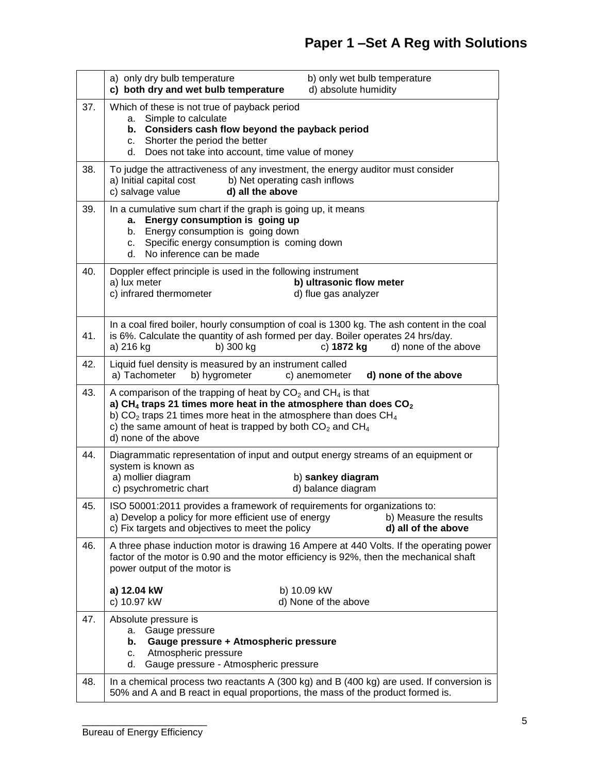|     | a) only dry bulb temperature<br>c) both dry and wet bulb temperature                                                                                                                                                          |                                                                                | b) only wet bulb temperature<br>d) absolute humidity |                                                                                         |
|-----|-------------------------------------------------------------------------------------------------------------------------------------------------------------------------------------------------------------------------------|--------------------------------------------------------------------------------|------------------------------------------------------|-----------------------------------------------------------------------------------------|
| 37. | Which of these is not true of payback period<br>Simple to calculate<br>a.<br>b. Considers cash flow beyond the payback period<br>Shorter the period the better<br>C.<br>Does not take into account, time value of money<br>d. |                                                                                |                                                      |                                                                                         |
| 38. | To judge the attractiveness of any investment, the energy auditor must consider<br>a) Initial capital cost<br>c) salvage value                                                                                                | b) Net operating cash inflows<br>d) all the above                              |                                                      |                                                                                         |
| 39. | In a cumulative sum chart if the graph is going up, it means<br>a. Energy consumption is going up<br>b. Energy consumption is going down<br>c.<br>No inference can be made<br>d.                                              | Specific energy consumption is coming down                                     |                                                      |                                                                                         |
| 40. | Doppler effect principle is used in the following instrument<br>a) lux meter<br>c) infrared thermometer                                                                                                                       |                                                                                | b) ultrasonic flow meter<br>d) flue gas analyzer     |                                                                                         |
| 41. | In a coal fired boiler, hourly consumption of coal is 1300 kg. The ash content in the coal<br>is 6%. Calculate the quantity of ash formed per day. Boiler operates 24 hrs/day.<br>a) 216 kg                                   | b) 300 kg                                                                      | c) 1872 kg                                           | d) none of the above                                                                    |
| 42. | Liquid fuel density is measured by an instrument called<br>a) Tachometer<br>b) hygrometer                                                                                                                                     |                                                                                | c) anemometer                                        | d) none of the above                                                                    |
| 43. | A comparison of the trapping of heat by $CO2$ and $CH4$ is that<br>a) CH <sub>4</sub> traps 21 times more heat in the atmosphere than does $CO2$                                                                              |                                                                                |                                                      |                                                                                         |
|     | b) $CO2$ traps 21 times more heat in the atmosphere than does $CH4$<br>c) the same amount of heat is trapped by both $CO2$ and $CH4$<br>d) none of the above                                                                  |                                                                                |                                                      |                                                                                         |
| 44. | Diagrammatic representation of input and output energy streams of an equipment or<br>system is known as<br>a) mollier diagram<br>c) psychrometric chart                                                                       |                                                                                | b) sankey diagram<br>d) balance diagram              |                                                                                         |
| 45. | ISO 50001:2011 provides a framework of requirements for organizations to:<br>a) Develop a policy for more efficient use of energy<br>c) Fix targets and objectives to meet the policy                                         |                                                                                |                                                      | b) Measure the results<br>d) all of the above                                           |
| 46. | factor of the motor is 0.90 and the motor efficiency is 92%, then the mechanical shaft<br>power output of the motor is                                                                                                        |                                                                                |                                                      | A three phase induction motor is drawing 16 Ampere at 440 Volts. If the operating power |
|     | a) 12.04 kW<br>c) 10.97 kW                                                                                                                                                                                                    |                                                                                | b) 10.09 kW<br>d) None of the above                  |                                                                                         |
| 47. | Absolute pressure is<br>Gauge pressure<br>a.<br>b.<br>Atmospheric pressure<br>c.<br>d.                                                                                                                                        | Gauge pressure + Atmospheric pressure<br>Gauge pressure - Atmospheric pressure |                                                      |                                                                                         |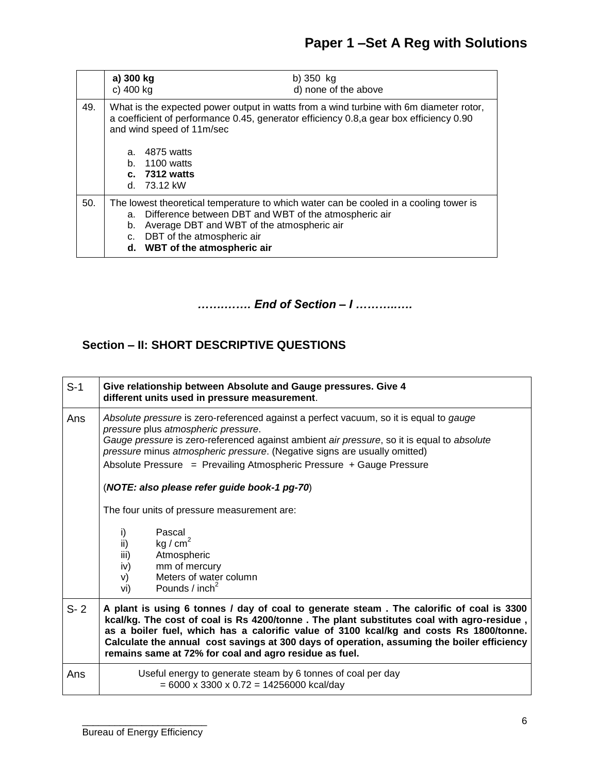|     | a) 300 kg<br>c) 400 kg | b) $350$ kg<br>d) none of the above                                                                                                                                                                                                                            |
|-----|------------------------|----------------------------------------------------------------------------------------------------------------------------------------------------------------------------------------------------------------------------------------------------------------|
| 49. |                        | What is the expected power output in watts from a wind turbine with 6m diameter rotor,<br>a coefficient of performance 0.45, generator efficiency 0.8, a gear box efficiency 0.90<br>and wind speed of 11m/sec                                                 |
|     | a.<br>b.               | 4875 watts<br>1100 watts<br>$c.$ 7312 watts<br>d. $73.12 \text{ kW}$                                                                                                                                                                                           |
| 50. | b.<br>C.               | The lowest theoretical temperature to which water can be cooled in a cooling tower is<br>a. Difference between DBT and WBT of the atmospheric air<br>Average DBT and WBT of the atmospheric air<br>DBT of the atmospheric air<br>d. WBT of the atmospheric air |

*…….……. End of Section – I ………..….*

### **Section – II: SHORT DESCRIPTIVE QUESTIONS**

| $S-1$   | Give relationship between Absolute and Gauge pressures. Give 4<br>different units used in pressure measurement.                                                                                                                                                                                                                                                                                                                                                                                                                                                                                                                |  |  |
|---------|--------------------------------------------------------------------------------------------------------------------------------------------------------------------------------------------------------------------------------------------------------------------------------------------------------------------------------------------------------------------------------------------------------------------------------------------------------------------------------------------------------------------------------------------------------------------------------------------------------------------------------|--|--|
| Ans     | Absolute pressure is zero-referenced against a perfect vacuum, so it is equal to gauge<br>pressure plus atmospheric pressure.<br>Gauge pressure is zero-referenced against ambient air pressure, so it is equal to absolute<br>pressure minus atmospheric pressure. (Negative signs are usually omitted)<br>Absolute Pressure = Prevailing Atmospheric Pressure + Gauge Pressure<br>(NOTE: also please refer guide book-1 pg-70)<br>The four units of pressure measurement are:<br>Pascal<br>i)<br>kg / $cm2$<br>ii)<br>iii)<br>Atmospheric<br>mm of mercury<br>iv)<br>Meters of water column<br>V)<br>Pounds / $inch2$<br>vi) |  |  |
| $S - 2$ | A plant is using 6 tonnes / day of coal to generate steam. The calorific of coal is 3300<br>kcal/kg. The cost of coal is Rs 4200/tonne . The plant substitutes coal with agro-residue,<br>as a boiler fuel, which has a calorific value of 3100 kcal/kg and costs Rs 1800/tonne.<br>Calculate the annual cost savings at 300 days of operation, assuming the boiler efficiency<br>remains same at 72% for coal and agro residue as fuel.                                                                                                                                                                                       |  |  |
| Ans     | Useful energy to generate steam by 6 tonnes of coal per day<br>$= 6000 \times 3300 \times 0.72 = 14256000$ kcal/day                                                                                                                                                                                                                                                                                                                                                                                                                                                                                                            |  |  |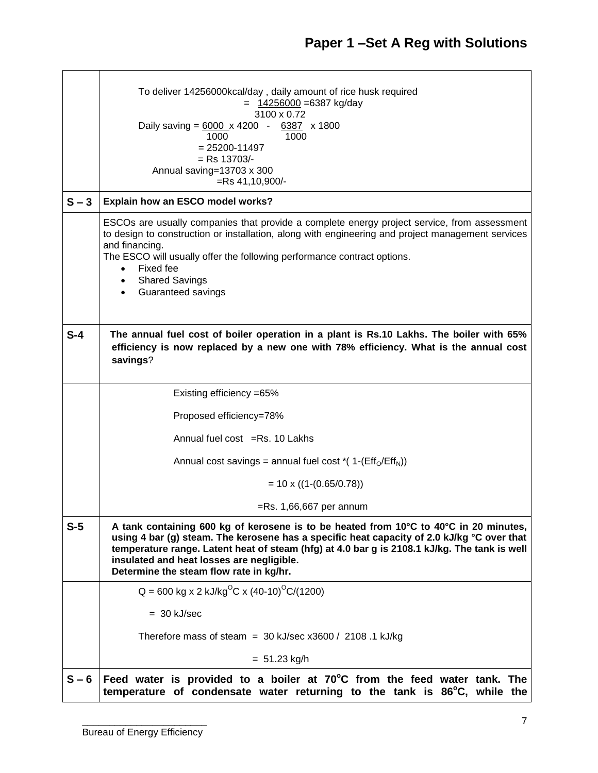|         | To deliver 14256000kcal/day, daily amount of rice husk required<br>$= 14256000 = 6387$ kg/day<br>3100 x 0.72<br>Daily saving = $\frac{6000}{x}$ 4200 - $\frac{6387}{x}$ x 1800<br>1000<br>1000<br>$= 25200 - 11497$<br>$=$ Rs 13703/-<br>Annual saving=13703 x 300<br>$=$ Rs 41,10,900/-                                                                                    |  |  |  |  |  |
|---------|-----------------------------------------------------------------------------------------------------------------------------------------------------------------------------------------------------------------------------------------------------------------------------------------------------------------------------------------------------------------------------|--|--|--|--|--|
| $S - 3$ | Explain how an ESCO model works?                                                                                                                                                                                                                                                                                                                                            |  |  |  |  |  |
|         | ESCOs are usually companies that provide a complete energy project service, from assessment<br>to design to construction or installation, along with engineering and project management services<br>and financing.<br>The ESCO will usually offer the following performance contract options.<br>Fixed fee<br><b>Shared Savings</b><br>Guaranteed savings                   |  |  |  |  |  |
| $S-4$   | The annual fuel cost of boiler operation in a plant is Rs.10 Lakhs. The boiler with 65%<br>efficiency is now replaced by a new one with 78% efficiency. What is the annual cost<br>savings?                                                                                                                                                                                 |  |  |  |  |  |
|         | Existing efficiency = 65%                                                                                                                                                                                                                                                                                                                                                   |  |  |  |  |  |
|         | Proposed efficiency=78%                                                                                                                                                                                                                                                                                                                                                     |  |  |  |  |  |
|         | Annual fuel cost = $Rs. 10$ Lakhs                                                                                                                                                                                                                                                                                                                                           |  |  |  |  |  |
|         | Annual cost savings = annual fuel cost $*(1-(EffN/EffN))$                                                                                                                                                                                                                                                                                                                   |  |  |  |  |  |
|         | $= 10 \times ((1-(0.65/0.78)))$                                                                                                                                                                                                                                                                                                                                             |  |  |  |  |  |
|         | $=$ Rs. 1,66,667 per annum                                                                                                                                                                                                                                                                                                                                                  |  |  |  |  |  |
| $S-5$   | A tank containing 600 kg of kerosene is to be heated from 10°C to 40°C in 20 minutes,<br>using 4 bar (g) steam. The kerosene has a specific heat capacity of 2.0 kJ/kg °C over that<br>temperature range. Latent heat of steam (hfg) at 4.0 bar g is 2108.1 kJ/kg. The tank is well<br>insulated and heat losses are negligible.<br>Determine the steam flow rate in kg/hr. |  |  |  |  |  |
|         | $Q = 600$ kg x 2 kJ/kg <sup>o</sup> C x (40-10) <sup>o</sup> C/(1200)                                                                                                                                                                                                                                                                                                       |  |  |  |  |  |
|         | $= 30$ kJ/sec                                                                                                                                                                                                                                                                                                                                                               |  |  |  |  |  |
|         | Therefore mass of steam = $30 \text{ kJ/sec}$ x3600 / 2108 .1 kJ/kg                                                                                                                                                                                                                                                                                                         |  |  |  |  |  |
|         | $= 51.23$ kg/h                                                                                                                                                                                                                                                                                                                                                              |  |  |  |  |  |
| $S - 6$ | Feed water is provided to a boiler at 70°C from the feed water tank. The<br>temperature of condensate water returning to the tank is 86°C, while the                                                                                                                                                                                                                        |  |  |  |  |  |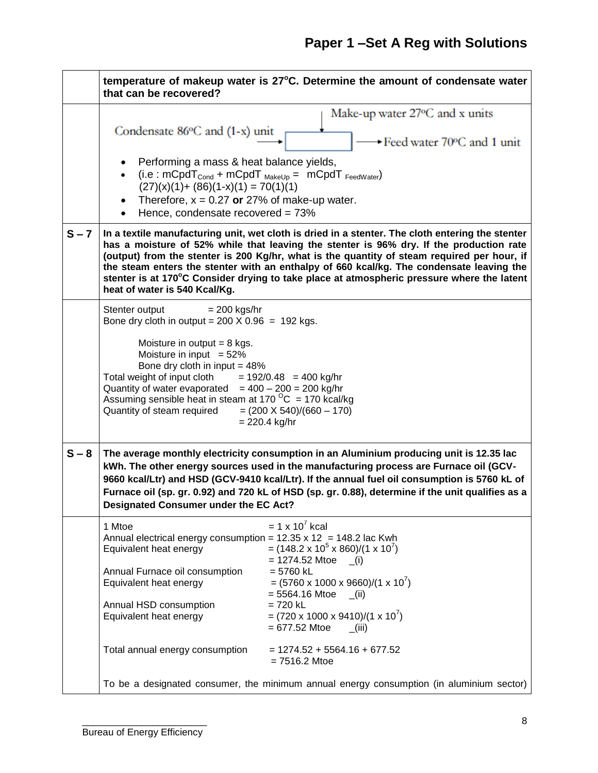|         | temperature of makeup water is 27°C. Determine the amount of condensate water<br>that can be recovered?                                                                                                                                                                                                                                                                                                                                                                                                                                                                                                                                                                                                                                  |  |  |  |
|---------|------------------------------------------------------------------------------------------------------------------------------------------------------------------------------------------------------------------------------------------------------------------------------------------------------------------------------------------------------------------------------------------------------------------------------------------------------------------------------------------------------------------------------------------------------------------------------------------------------------------------------------------------------------------------------------------------------------------------------------------|--|--|--|
|         | Make-up water 27 °C and x units<br>Condensate $86^{\circ}$ C and $(1-x)$ unit<br>→ Feed water 70°C and 1 unit<br>Performing a mass & heat balance yields,<br>(i.e: $mCpdT_{Cond}$ + $mCpdT_{MakeUp}$ = $mCpdT_{FeedWater}$ )<br>$(27)(x)(1) + (86)(1-x)(1) = 70(1)(1)$<br>Therefore, $x = 0.27$ or 27% of make-up water.<br>Hence, condensate recovered = 73%                                                                                                                                                                                                                                                                                                                                                                            |  |  |  |
| $S - 7$ | In a textile manufacturing unit, wet cloth is dried in a stenter. The cloth entering the stenter<br>has a moisture of 52% while that leaving the stenter is 96% dry. If the production rate<br>(output) from the stenter is 200 Kg/hr, what is the quantity of steam required per hour, if<br>the steam enters the stenter with an enthalpy of 660 kcal/kg. The condensate leaving the<br>stenter is at 170°C Consider drying to take place at atmospheric pressure where the latent<br>heat of water is 540 Kcal/Kg.                                                                                                                                                                                                                    |  |  |  |
|         | Stenter output<br>$= 200$ kgs/hr<br>Bone dry cloth in output = $200 \times 0.96 = 192$ kgs.<br>Moisture in output $= 8$ kgs.<br>Moisture in input $= 52\%$<br>Bone dry cloth in input = $48\%$<br>Total weight of input cloth $= 192/0.48 = 400$ kg/hr<br>Quantity of water evaporated $= 400 - 200 = 200$ kg/hr<br>Assuming sensible heat in steam at 170 $^{\circ}$ C = 170 kcal/kg<br>Quantity of steam required<br>$= (200 \times 540)/(660 - 170)$<br>$= 220.4$ kg/hr                                                                                                                                                                                                                                                               |  |  |  |
| $S - 8$ | The average monthly electricity consumption in an Aluminium producing unit is 12.35 lac<br>kWh. The other energy sources used in the manufacturing process are Furnace oil (GCV-<br>9660 kcal/Ltr) and HSD (GCV-9410 kcal/Ltr). If the annual fuel oil consumption is 5760 kL of<br>Furnace oil (sp. gr. 0.92) and 720 kL of HSD (sp. gr. 0.88), determine if the unit qualifies as a<br><b>Designated Consumer under the EC Act?</b>                                                                                                                                                                                                                                                                                                    |  |  |  |
|         | $= 1 \times 10^7$ kcal<br>1 Mtoe<br>Annual electrical energy consumption = $12.35 \times 12 = 148.2$ lac Kwh<br>$=$ (148.2 x 10 <sup>5</sup> x 860)/(1 x 10 <sup>7</sup> )<br>Equivalent heat energy<br>$= 1274.52$ Mtoe<br>(i)<br>Annual Furnace oil consumption<br>$= 5760$ kL<br>$= (5760 \times 1000 \times 9660)/(1 \times 10^{7})$<br>Equivalent heat energy<br>$= 5564.16$ Mtoe<br>(iii)<br>Annual HSD consumption<br>$= 720$ kL<br>$= (720 \times 1000 \times 9410)/(1 \times 10^{7})$<br>Equivalent heat energy<br>$= 677.52$ Mtoe<br>(iii)<br>Total annual energy consumption<br>$= 1274.52 + 5564.16 + 677.52$<br>$= 7516.2$ Mtoe<br>To be a designated consumer, the minimum annual energy consumption (in aluminium sector) |  |  |  |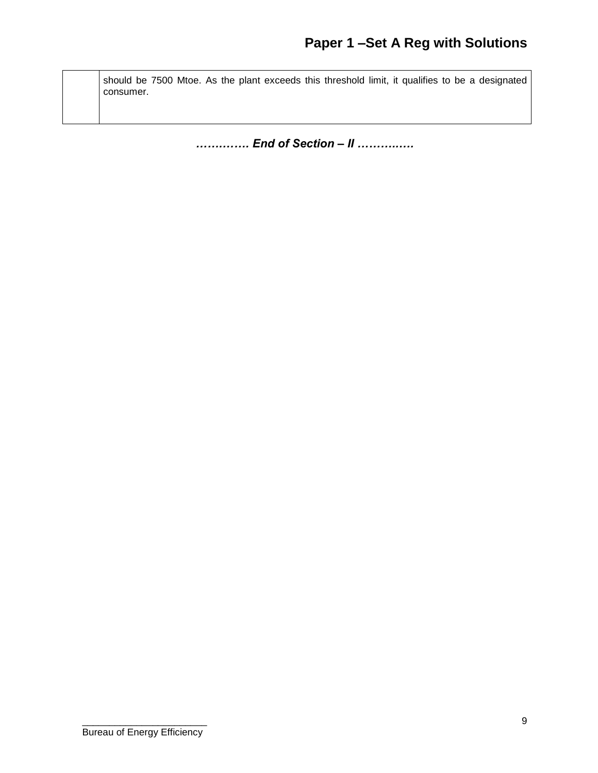should be 7500 Mtoe. As the plant exceeds this threshold limit, it qualifies to be a designated consumer.

*…….……. End of Section – II ………..….*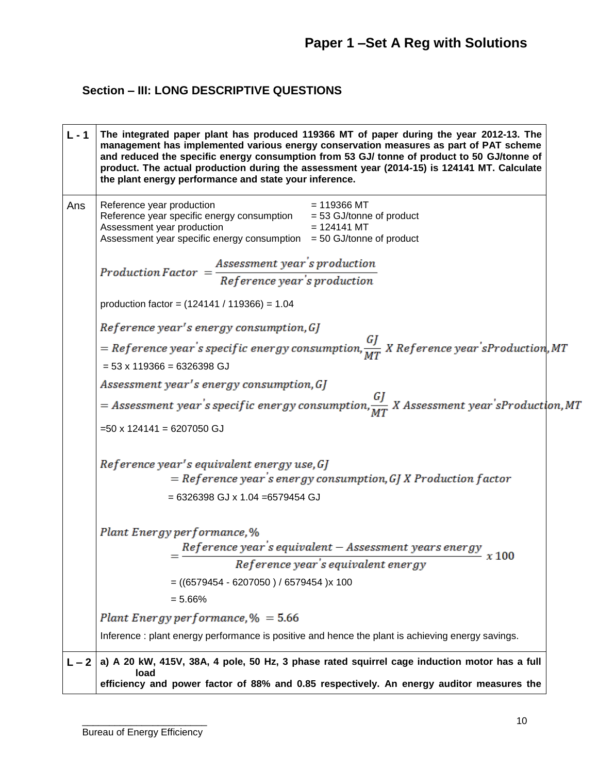## **Section – III: LONG DESCRIPTIVE QUESTIONS**

| $L - 1$ | The integrated paper plant has produced 119366 MT of paper during the year 2012-13. The<br>management has implemented various energy conservation measures as part of PAT scheme<br>and reduced the specific energy consumption from 53 GJ/ tonne of product to 50 GJ/tonne of<br>product. The actual production during the assessment year (2014-15) is 124141 MT. Calculate<br>the plant energy performance and state your inference. |  |  |  |  |
|---------|-----------------------------------------------------------------------------------------------------------------------------------------------------------------------------------------------------------------------------------------------------------------------------------------------------------------------------------------------------------------------------------------------------------------------------------------|--|--|--|--|
| Ans     | $= 119366$ MT<br>Reference year production<br>Reference year specific energy consumption<br>$= 53$ GJ/tonne of product<br>Assessment year production<br>$= 124141$ MT<br>Assessment year specific energy consumption<br>$=$ 50 GJ/tonne of product                                                                                                                                                                                      |  |  |  |  |
|         | $Production\ Factor = \frac{Assessment\ year's\ production}{Reference\ year's\ production}$                                                                                                                                                                                                                                                                                                                                             |  |  |  |  |
|         | production factor = $(124141 / 119366) = 1.04$                                                                                                                                                                                                                                                                                                                                                                                          |  |  |  |  |
|         | Reference year's energy consumption, GJ                                                                                                                                                                                                                                                                                                                                                                                                 |  |  |  |  |
|         | = Reference year's specific energy consumption, $\frac{GJ}{MT}$ X Reference year'sProduction, MT<br>$= 53 \times 119366 = 6326398$ GJ                                                                                                                                                                                                                                                                                                   |  |  |  |  |
|         | Assessment year's energy consumption, GJ                                                                                                                                                                                                                                                                                                                                                                                                |  |  |  |  |
|         | = Assessment year's specific energy consumption, $\frac{GJ}{MT}$ X Assessment year'sProduction, MT                                                                                                                                                                                                                                                                                                                                      |  |  |  |  |
|         | $=50 \times 124141 = 6207050$ GJ                                                                                                                                                                                                                                                                                                                                                                                                        |  |  |  |  |
|         | Reference year's equivalent energy use, GJ<br>$=$ Reference year's energy consumption, GJ X Production factor                                                                                                                                                                                                                                                                                                                           |  |  |  |  |
|         | $= 6326398$ GJ x 1.04 $= 6579454$ GJ                                                                                                                                                                                                                                                                                                                                                                                                    |  |  |  |  |
|         | Plant Energy performance, %                                                                                                                                                                                                                                                                                                                                                                                                             |  |  |  |  |
|         | $=\frac{Reference\ year\ 's\ equivalent\ -\ Assessment\ years\ energy}{Reference\ year\ 's\ equivalent\ energy} \ x\ 100$                                                                                                                                                                                                                                                                                                               |  |  |  |  |
|         | $= ((6579454 - 6207050) / 6579454)$ x 100                                                                                                                                                                                                                                                                                                                                                                                               |  |  |  |  |
|         | $= 5.66%$                                                                                                                                                                                                                                                                                                                                                                                                                               |  |  |  |  |
|         | Plant Energy performance, $% = 5.66$                                                                                                                                                                                                                                                                                                                                                                                                    |  |  |  |  |
|         | Inference : plant energy performance is positive and hence the plant is achieving energy savings.                                                                                                                                                                                                                                                                                                                                       |  |  |  |  |
|         | a) A 20 kW, 415V, 38A, 4 pole, 50 Hz, 3 phase rated squirrel cage induction motor has a full<br>load                                                                                                                                                                                                                                                                                                                                    |  |  |  |  |
|         | efficiency and power factor of 88% and 0.85 respectively. An energy auditor measures the                                                                                                                                                                                                                                                                                                                                                |  |  |  |  |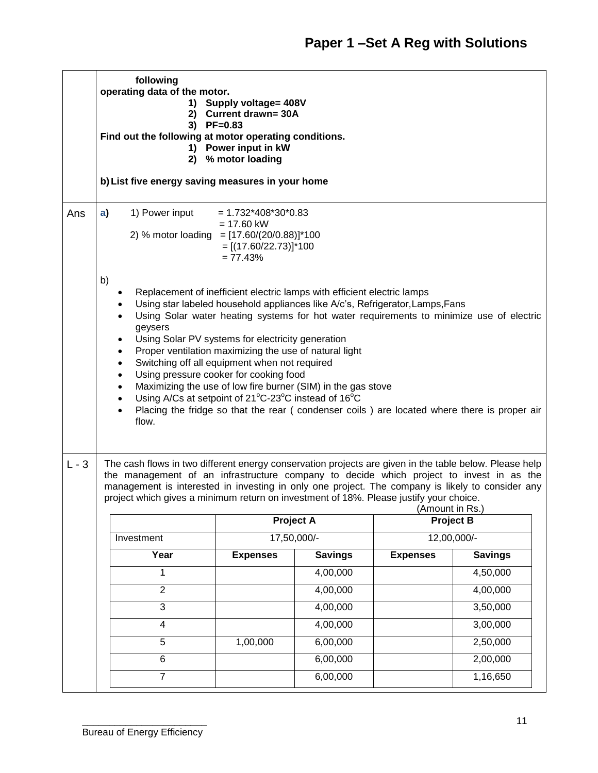|         | following<br>operating data of the motor.<br>1) Supply voltage= 408V<br><b>Current drawn= 30A</b><br>2)<br>3) PF=0.83<br>Find out the following at motor operating conditions.<br>1) Power input in kW<br>% motor loading<br>2)<br>b) List five energy saving measures in your home                                                                                                                                                                                                                                                                                                                                                                                                                                                                                                                       |                 |                  |                                     |                |  |  |
|---------|-----------------------------------------------------------------------------------------------------------------------------------------------------------------------------------------------------------------------------------------------------------------------------------------------------------------------------------------------------------------------------------------------------------------------------------------------------------------------------------------------------------------------------------------------------------------------------------------------------------------------------------------------------------------------------------------------------------------------------------------------------------------------------------------------------------|-----------------|------------------|-------------------------------------|----------------|--|--|
| Ans     | 1) Power input<br>a)<br>$= 1.732*408*30*0.83$<br>$= 17.60$ kW<br>2) % motor loading = $[17.60/(20/0.88)]*100$<br>$=[(17.60/22.73)]*100$<br>$= 77.43%$                                                                                                                                                                                                                                                                                                                                                                                                                                                                                                                                                                                                                                                     |                 |                  |                                     |                |  |  |
|         | b)<br>Replacement of inefficient electric lamps with efficient electric lamps<br>Using star labeled household appliances like A/c's, Refrigerator, Lamps, Fans<br>Using Solar water heating systems for hot water requirements to minimize use of electric<br>$\bullet$<br>geysers<br>Using Solar PV systems for electricity generation<br>$\bullet$<br>Proper ventilation maximizing the use of natural light<br>$\bullet$<br>Switching off all equipment when not required<br>$\bullet$<br>Using pressure cooker for cooking food<br>$\bullet$<br>Maximizing the use of low fire burner (SIM) in the gas stove<br>$\bullet$<br>Using A/Cs at setpoint of 21°C-23°C instead of 16°C<br>Placing the fridge so that the rear (condenser coils) are located where there is proper air<br>$\bullet$<br>flow. |                 |                  |                                     |                |  |  |
| $L - 3$ | The cash flows in two different energy conservation projects are given in the table below. Please help<br>the management of an infrastructure company to decide which project to invest in as the<br>management is interested in investing in only one project. The company is likely to consider any<br>project which gives a minimum return on investment of 18%. Please justify your choice.                                                                                                                                                                                                                                                                                                                                                                                                           |                 |                  |                                     |                |  |  |
|         |                                                                                                                                                                                                                                                                                                                                                                                                                                                                                                                                                                                                                                                                                                                                                                                                           |                 | <b>Project A</b> | (Amount in Rs.)<br><b>Project B</b> |                |  |  |
|         | Investment                                                                                                                                                                                                                                                                                                                                                                                                                                                                                                                                                                                                                                                                                                                                                                                                |                 | 17,50,000/-      | 12,00,000/-                         |                |  |  |
|         | Year                                                                                                                                                                                                                                                                                                                                                                                                                                                                                                                                                                                                                                                                                                                                                                                                      | <b>Expenses</b> | <b>Savings</b>   | <b>Expenses</b>                     | <b>Savings</b> |  |  |
|         | 1                                                                                                                                                                                                                                                                                                                                                                                                                                                                                                                                                                                                                                                                                                                                                                                                         |                 | 4,00,000         |                                     | 4,50,000       |  |  |
|         | $\overline{2}$                                                                                                                                                                                                                                                                                                                                                                                                                                                                                                                                                                                                                                                                                                                                                                                            |                 | 4,00,000         |                                     | 4,00,000       |  |  |
|         | 3                                                                                                                                                                                                                                                                                                                                                                                                                                                                                                                                                                                                                                                                                                                                                                                                         |                 | 4,00,000         |                                     | 3,50,000       |  |  |
|         | 4                                                                                                                                                                                                                                                                                                                                                                                                                                                                                                                                                                                                                                                                                                                                                                                                         |                 | 4,00,000         |                                     | 3,00,000       |  |  |
|         | 5                                                                                                                                                                                                                                                                                                                                                                                                                                                                                                                                                                                                                                                                                                                                                                                                         | 1,00,000        | 6,00,000         |                                     | 2,50,000       |  |  |
|         | $\,6$                                                                                                                                                                                                                                                                                                                                                                                                                                                                                                                                                                                                                                                                                                                                                                                                     |                 | 6,00,000         |                                     | 2,00,000       |  |  |
|         | $\overline{7}$<br>6,00,000<br>1,16,650                                                                                                                                                                                                                                                                                                                                                                                                                                                                                                                                                                                                                                                                                                                                                                    |                 |                  |                                     |                |  |  |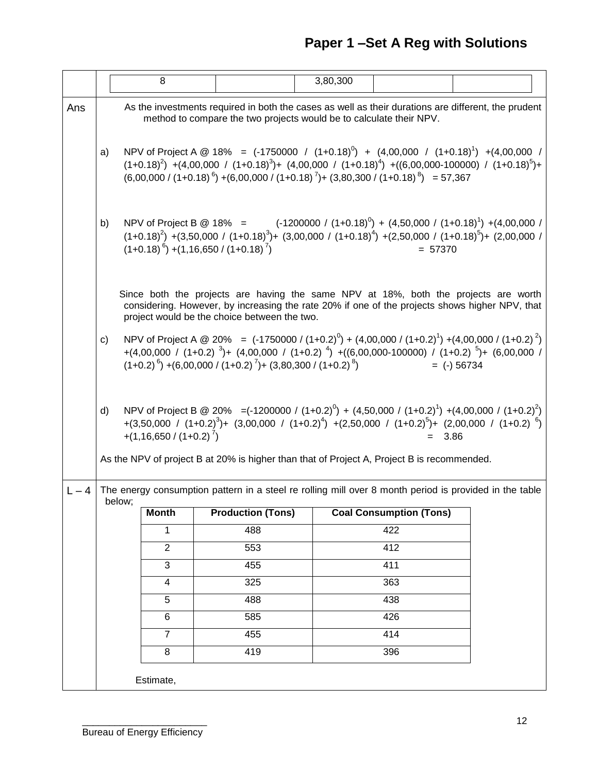# **Paper 1 –Set A Reg with Solutions**

|         |                                                                                                                                                                                                                                                                                                                                                            |                                                                                                                                                                                                                                                                                                                   | 8                       |                                              | 3,80,300                                                                                   |                                |                                                                                                                                                                                                                                                                |  |
|---------|------------------------------------------------------------------------------------------------------------------------------------------------------------------------------------------------------------------------------------------------------------------------------------------------------------------------------------------------------------|-------------------------------------------------------------------------------------------------------------------------------------------------------------------------------------------------------------------------------------------------------------------------------------------------------------------|-------------------------|----------------------------------------------|--------------------------------------------------------------------------------------------|--------------------------------|----------------------------------------------------------------------------------------------------------------------------------------------------------------------------------------------------------------------------------------------------------------|--|
| Ans     | As the investments required in both the cases as well as their durations are different, the prudent<br>method to compare the two projects would be to calculate their NPV.                                                                                                                                                                                 |                                                                                                                                                                                                                                                                                                                   |                         |                                              |                                                                                            |                                |                                                                                                                                                                                                                                                                |  |
|         | a)                                                                                                                                                                                                                                                                                                                                                         | NPV of Project A @ 18% = $(-1750000 / (1+0.18)^{0}) + (4,00,000 / (1+0.18)^{1}) + (4,00,000 /$<br>$(1+0.18)^2$ +(4,00,000 / $(1+0.18)^3$ )+ $(4,00,000$ / $(1+0.18)^4$ ) +( $(6,00,000-100000)$ / $(1+0.18)^5$ )+<br>$(6,00,000 / (1+0.18)^{6}) + (6,00,000 / (1+0.18)^{7}) + (3,80,300 / (1+0.18)^{8}) = 57,367$ |                         |                                              |                                                                                            |                                |                                                                                                                                                                                                                                                                |  |
|         | NPV of Project B @ 18% = $(-1200000 / (1+0.18)^{0}) + (4,50,000 / (1+0.18)^{1}) + (4,00,000 /$<br>b)<br>$(1+0.18)^2$ ) +(3,50,000 / (1+0.18) <sup>3</sup> )+ (3,00,000 / (1+0.18) <sup>4</sup> ) +(2,50,000 / (1+0.18) <sup>5</sup> )+ (2,00,000 /<br>$(1+0.18)^{6}$ ) +(1,16,650 / (1+0.18) <sup>7</sup> )<br>$= 57370$                                   |                                                                                                                                                                                                                                                                                                                   |                         |                                              |                                                                                            |                                |                                                                                                                                                                                                                                                                |  |
|         |                                                                                                                                                                                                                                                                                                                                                            |                                                                                                                                                                                                                                                                                                                   |                         | project would be the choice between the two. |                                                                                            |                                | Since both the projects are having the same NPV at 18%, both the projects are worth<br>considering. However, by increasing the rate 20% if one of the projects shows higher NPV, that                                                                          |  |
|         | NPV of Project A @ 20% = $(-1750000 / (1+0.2)^0) + (4,00,000 / (1+0.2)^1) + (4,00,000 / (1+0.2)^2)$<br>c)<br>+(4,00,000 / (1+0.2) <sup>3</sup> )+ (4,00,000 / (1+0.2) <sup>4</sup> ) +((6,00,000-100000) / (1+0.2) <sup>5</sup> )+ (6,00,000 /<br>$(1+0.2)^{6}$ ) +(6,00,000 / (1+0.2) <sup>7</sup> )+ (3,80,300 / (1+0.2) <sup>8</sup> )<br>$=$ (-) 56734 |                                                                                                                                                                                                                                                                                                                   |                         |                                              |                                                                                            |                                |                                                                                                                                                                                                                                                                |  |
|         | d)                                                                                                                                                                                                                                                                                                                                                         |                                                                                                                                                                                                                                                                                                                   | $+(1,16,650/(1+0.2)^7)$ |                                              |                                                                                            |                                | NPV of Project B @ 20% = $(-1200000 / (1+0.2)^0) + (4,50,000 / (1+0.2)^1) + (4,00,000 / (1+0.2)^2)$<br>+(3,50,000 / (1+0.2) <sup>3</sup> )+ (3,00,000 / (1+0.2) <sup>4</sup> ) +(2,50,000 / (1+0.2) <sup>5</sup> )+ (2,00,000 / (1+0.2) <sup>6</sup> )<br>3.86 |  |
|         |                                                                                                                                                                                                                                                                                                                                                            |                                                                                                                                                                                                                                                                                                                   |                         |                                              | As the NPV of project B at 20% is higher than that of Project A, Project B is recommended. |                                |                                                                                                                                                                                                                                                                |  |
| $L - 4$ |                                                                                                                                                                                                                                                                                                                                                            | below;                                                                                                                                                                                                                                                                                                            |                         |                                              |                                                                                            |                                | The energy consumption pattern in a steel re rolling mill over 8 month period is provided in the table                                                                                                                                                         |  |
|         |                                                                                                                                                                                                                                                                                                                                                            |                                                                                                                                                                                                                                                                                                                   | <b>Month</b>            | <b>Production (Tons)</b>                     |                                                                                            | <b>Coal Consumption (Tons)</b> |                                                                                                                                                                                                                                                                |  |
|         |                                                                                                                                                                                                                                                                                                                                                            |                                                                                                                                                                                                                                                                                                                   | 1                       | 488                                          |                                                                                            | 422                            |                                                                                                                                                                                                                                                                |  |
|         |                                                                                                                                                                                                                                                                                                                                                            |                                                                                                                                                                                                                                                                                                                   | $\overline{2}$          | 553                                          |                                                                                            | 412                            |                                                                                                                                                                                                                                                                |  |
|         |                                                                                                                                                                                                                                                                                                                                                            |                                                                                                                                                                                                                                                                                                                   | $\overline{3}$          | 455                                          |                                                                                            | 411                            |                                                                                                                                                                                                                                                                |  |
|         |                                                                                                                                                                                                                                                                                                                                                            |                                                                                                                                                                                                                                                                                                                   | $\overline{4}$          | 325                                          |                                                                                            | 363                            |                                                                                                                                                                                                                                                                |  |
|         |                                                                                                                                                                                                                                                                                                                                                            |                                                                                                                                                                                                                                                                                                                   | 5                       | 488                                          |                                                                                            | 438                            |                                                                                                                                                                                                                                                                |  |
|         |                                                                                                                                                                                                                                                                                                                                                            |                                                                                                                                                                                                                                                                                                                   | 6                       | 585                                          |                                                                                            | 426                            |                                                                                                                                                                                                                                                                |  |
|         |                                                                                                                                                                                                                                                                                                                                                            |                                                                                                                                                                                                                                                                                                                   | $\overline{7}$          | 455                                          |                                                                                            | 414                            |                                                                                                                                                                                                                                                                |  |
|         |                                                                                                                                                                                                                                                                                                                                                            |                                                                                                                                                                                                                                                                                                                   | 8                       | 419                                          |                                                                                            | 396                            |                                                                                                                                                                                                                                                                |  |
|         | Estimate,                                                                                                                                                                                                                                                                                                                                                  |                                                                                                                                                                                                                                                                                                                   |                         |                                              |                                                                                            |                                |                                                                                                                                                                                                                                                                |  |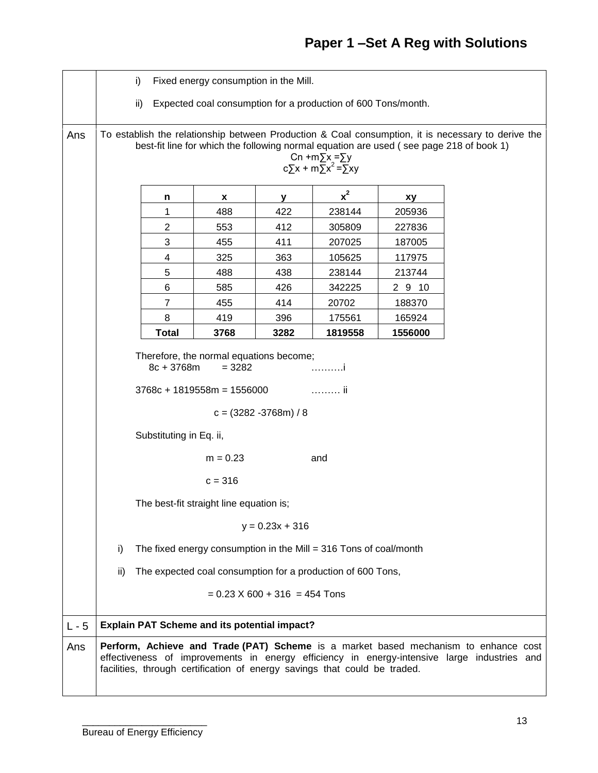|         | Fixed energy consumption in the Mill.<br>i)                                                                                                                                                                                                                       |                         |      |      |         |         |  |  |  |  |
|---------|-------------------------------------------------------------------------------------------------------------------------------------------------------------------------------------------------------------------------------------------------------------------|-------------------------|------|------|---------|---------|--|--|--|--|
|         | Expected coal consumption for a production of 600 Tons/month.<br>ii)                                                                                                                                                                                              |                         |      |      |         |         |  |  |  |  |
| Ans     | To establish the relationship between Production & Coal consumption, it is necessary to derive the<br>best-fit line for which the following normal equation are used (see page 218 of book 1)<br>Cn +m $\Sigma$ x = $\Sigma$ y<br>$c\sum x + m\sum x^2 = \sum xy$ |                         |      |      |         |         |  |  |  |  |
|         |                                                                                                                                                                                                                                                                   | n                       | X    | У    | $x^2$   | xy      |  |  |  |  |
|         |                                                                                                                                                                                                                                                                   | 1                       | 488  | 422  | 238144  | 205936  |  |  |  |  |
|         |                                                                                                                                                                                                                                                                   | $\overline{\mathbf{c}}$ | 553  | 412  | 305809  | 227836  |  |  |  |  |
|         |                                                                                                                                                                                                                                                                   | 3                       | 455  | 411  | 207025  | 187005  |  |  |  |  |
|         |                                                                                                                                                                                                                                                                   | 4                       | 325  | 363  | 105625  | 117975  |  |  |  |  |
|         |                                                                                                                                                                                                                                                                   | 5                       | 488  | 438  | 238144  | 213744  |  |  |  |  |
|         |                                                                                                                                                                                                                                                                   | 6                       | 585  | 426  | 342225  | 2910    |  |  |  |  |
|         |                                                                                                                                                                                                                                                                   | 7                       | 455  | 414  | 20702   | 188370  |  |  |  |  |
|         |                                                                                                                                                                                                                                                                   | 8                       | 419  | 396  | 175561  | 165924  |  |  |  |  |
|         |                                                                                                                                                                                                                                                                   | <b>Total</b>            | 3768 | 3282 | 1819558 | 1556000 |  |  |  |  |
|         | Therefore, the normal equations become;<br>8c + 3768m<br>$= 3282$<br>. i<br>ii<br>$3768c + 1819558m = 1556000$<br>$c = (3282 - 3768m) / 8$<br>Substituting in Eq. ii,                                                                                             |                         |      |      |         |         |  |  |  |  |
|         | $m = 0.23$<br>and<br>$c = 316$                                                                                                                                                                                                                                    |                         |      |      |         |         |  |  |  |  |
|         | The best-fit straight line equation is;                                                                                                                                                                                                                           |                         |      |      |         |         |  |  |  |  |
|         | $y = 0.23x + 316$                                                                                                                                                                                                                                                 |                         |      |      |         |         |  |  |  |  |
|         | i)<br>The fixed energy consumption in the Mill = 316 Tons of coal/month                                                                                                                                                                                           |                         |      |      |         |         |  |  |  |  |
|         | ii)<br>The expected coal consumption for a production of 600 Tons,                                                                                                                                                                                                |                         |      |      |         |         |  |  |  |  |
|         | $= 0.23$ X 600 + 316 = 454 Tons                                                                                                                                                                                                                                   |                         |      |      |         |         |  |  |  |  |
| $L - 5$ | <b>Explain PAT Scheme and its potential impact?</b>                                                                                                                                                                                                               |                         |      |      |         |         |  |  |  |  |
| Ans     | Perform, Achieve and Trade (PAT) Scheme is a market based mechanism to enhance cost<br>effectiveness of improvements in energy efficiency in energy-intensive large industries and<br>facilities, through certification of energy savings that could be traded.   |                         |      |      |         |         |  |  |  |  |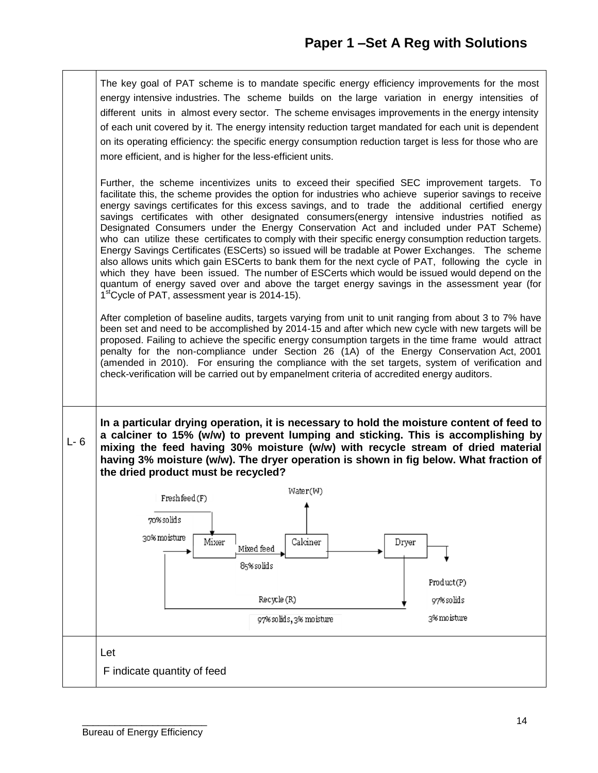The key goal of PAT scheme is to mandate specific energy efficiency improvements for the most energy intensive industries. The scheme builds on the large variation in energy intensities of different units in almost every sector. The scheme envisages improvements in the energy intensity of each unit covered by it. The energy intensity reduction target mandated for each unit is dependent on its operating efficiency: the specific energy consumption reduction target is less for those who are more efficient, and is higher for the less-efficient units.

Further, the scheme incentivizes units to exceed their specified SEC improvement targets. To facilitate this, the scheme provides the option for industries who achieve superior savings to receive energy savings certificates for this excess savings, and to trade the additional certified energy savings certificates with other designated consumers(energy intensive industries notified as Designated Consumers under the Energy Conservation Act and included under PAT Scheme) who can utilize these certificates to comply with their specific energy consumption reduction targets. Energy Savings Certificates (ESCerts) so issued will be tradable at Power Exchanges. The scheme also allows units which gain ESCerts to bank them for the next cycle of PAT, following the cycle in which they have been issued. The number of ESCerts which would be issued would depend on the quantum of energy saved over and above the target energy savings in the assessment year (for 1<sup>st</sup>Cycle of PAT, assessment year is 2014-15).

After completion of baseline audits, targets varying from unit to unit ranging from about 3 to 7% have been set and need to be accomplished by 2014-15 and after which new cycle with new targets will be proposed. Failing to achieve the specific energy consumption targets in the time frame would attract penalty for the non-compliance under Section 26 (1A) of the Energy Conservation Act, 2001 (amended in 2010). For ensuring the compliance with the set targets, system of verification and check-verification will be carried out by empanelment criteria of accredited energy auditors.

L- 6 **In a particular drying operation, it is necessary to hold the moisture content of feed to a calciner to 15% (w/w) to prevent lumping and sticking. This is accomplishing by mixing the feed having 30% moisture (w/w) with recycle stream of dried material having 3% moisture (w/w). The dryer operation is shown in fig below. What fraction of the dried product must be recycled?**